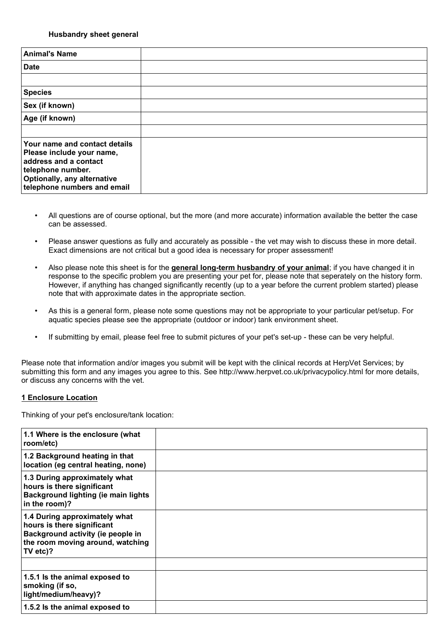### **Husbandry sheet general**

| <b>Animal's Name</b>                                                                                                                                                   |  |
|------------------------------------------------------------------------------------------------------------------------------------------------------------------------|--|
| <b>Date</b>                                                                                                                                                            |  |
|                                                                                                                                                                        |  |
| <b>Species</b>                                                                                                                                                         |  |
| Sex (if known)                                                                                                                                                         |  |
| Age (if known)                                                                                                                                                         |  |
|                                                                                                                                                                        |  |
| Your name and contact details<br>Please include your name,<br>address and a contact<br>telephone number.<br>Optionally, any alternative<br>telephone numbers and email |  |

- All questions are of course optional, but the more (and more accurate) information available the better the case can be assessed.
- Please answer questions as fully and accurately as possible the vet may wish to discuss these in more detail. Exact dimensions are not critical but a good idea is necessary for proper assessment!
- Also please note this sheet is for the **general long-term husbandry of your animal**; if you have changed it in response to the specific problem you are presenting your pet for, please note that seperately on the history form. However, if anything has changed significantly recently (up to a year before the current problem started) please note that with approximate dates in the appropriate section.
- As this is a general form, please note some questions may not be appropriate to your particular pet/setup. For aquatic species please see the appropriate (outdoor or indoor) tank environment sheet.
- If submitting by email, please feel free to submit pictures of your pet's set-up these can be very helpful.

Please note that information and/or images you submit will be kept with the clinical records at HerpVet Services; by submitting this form and any images you agree to this. See http://www.herpvet.co.uk/privacypolicy.html for more details, or discuss any concerns with the vet.

#### **1 Enclosure Location**

Thinking of your pet's enclosure/tank location:

| 1.1 Where is the enclosure (what<br>room/etc)                                                                                                    |  |
|--------------------------------------------------------------------------------------------------------------------------------------------------|--|
| 1.2 Background heating in that<br>location (eg central heating, none)                                                                            |  |
| 1.3 During approximately what<br>hours is there significant<br>Background lighting (ie main lights<br>in the room)?                              |  |
| 1.4 During approximately what<br>hours is there significant<br>Background activity (ie people in<br>the room moving around, watching<br>TV etc)? |  |
|                                                                                                                                                  |  |
| 1.5.1 Is the animal exposed to<br>smoking (if so,<br>light/medium/heavy)?                                                                        |  |
| 1.5.2 Is the animal exposed to                                                                                                                   |  |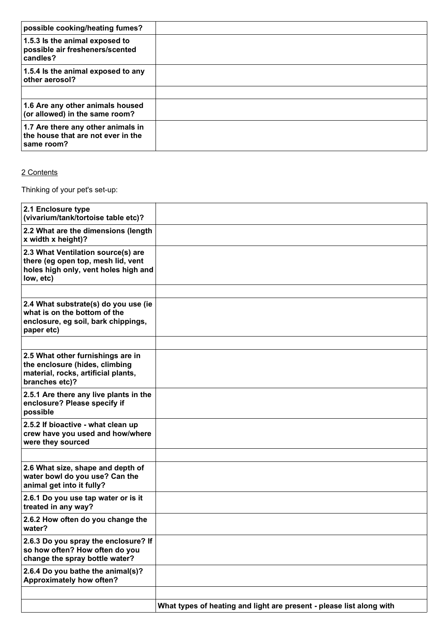| possible cooking/heating fumes?                                                        |  |
|----------------------------------------------------------------------------------------|--|
| 1.5.3 Is the animal exposed to<br>possible air fresheners/scented<br>candles?          |  |
| 1.5.4 Is the animal exposed to any<br>other aerosol?                                   |  |
|                                                                                        |  |
| 1.6 Are any other animals housed<br>(or allowed) in the same room?                     |  |
| 1.7 Are there any other animals in<br>the house that are not ever in the<br>same room? |  |

## 2 Contents

Thinking of your pet's set-up:

| 2.1 Enclosure type<br>(vivarium/tank/tortoise table etc)?                                                                     |                                                                      |
|-------------------------------------------------------------------------------------------------------------------------------|----------------------------------------------------------------------|
| 2.2 What are the dimensions (length<br>x width x height)?                                                                     |                                                                      |
| 2.3 What Ventilation source(s) are<br>there (eg open top, mesh lid, vent<br>holes high only, vent holes high and<br>low, etc) |                                                                      |
|                                                                                                                               |                                                                      |
| 2.4 What substrate(s) do you use (ie<br>what is on the bottom of the<br>enclosure, eg soil, bark chippings,<br>paper etc)     |                                                                      |
|                                                                                                                               |                                                                      |
| 2.5 What other furnishings are in<br>the enclosure (hides, climbing<br>material, rocks, artificial plants,<br>branches etc)?  |                                                                      |
| 2.5.1 Are there any live plants in the<br>enclosure? Please specify if<br>possible                                            |                                                                      |
| 2.5.2 If bioactive - what clean up<br>crew have you used and how/where<br>were they sourced                                   |                                                                      |
|                                                                                                                               |                                                                      |
| 2.6 What size, shape and depth of<br>water bowl do you use? Can the<br>animal get into it fully?                              |                                                                      |
| 2.6.1 Do you use tap water or is it<br>treated in any way?                                                                    |                                                                      |
| 2.6.2 How often do you change the<br>water?                                                                                   |                                                                      |
| 2.6.3 Do you spray the enclosure? If<br>so how often? How often do you<br>change the spray bottle water?                      |                                                                      |
| 2.6.4 Do you bathe the animal(s)?<br>Approximately how often?                                                                 |                                                                      |
|                                                                                                                               |                                                                      |
|                                                                                                                               | What types of heating and light are present - please list along with |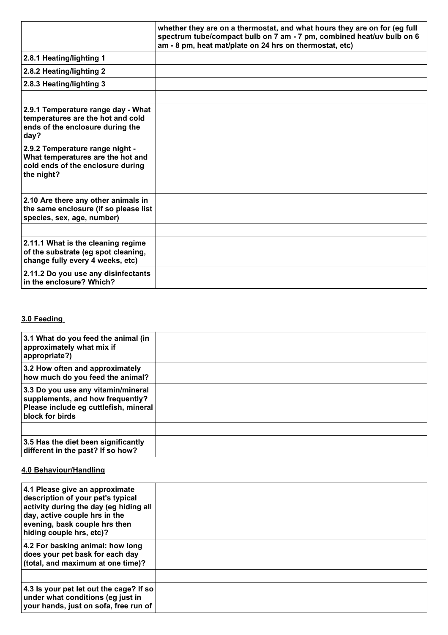|                                                                                                                         | whether they are on a thermostat, and what hours they are on for (eg full<br>spectrum tube/compact bulb on 7 am - 7 pm, combined heat/uv bulb on 6<br>am - 8 pm, heat mat/plate on 24 hrs on thermostat, etc) |
|-------------------------------------------------------------------------------------------------------------------------|---------------------------------------------------------------------------------------------------------------------------------------------------------------------------------------------------------------|
| 2.8.1 Heating/lighting 1                                                                                                |                                                                                                                                                                                                               |
| 2.8.2 Heating/lighting 2                                                                                                |                                                                                                                                                                                                               |
| 2.8.3 Heating/lighting 3                                                                                                |                                                                                                                                                                                                               |
|                                                                                                                         |                                                                                                                                                                                                               |
| 2.9.1 Temperature range day - What<br>temperatures are the hot and cold<br>ends of the enclosure during the<br>day?     |                                                                                                                                                                                                               |
| 2.9.2 Temperature range night -<br>What temperatures are the hot and<br>cold ends of the enclosure during<br>the night? |                                                                                                                                                                                                               |
|                                                                                                                         |                                                                                                                                                                                                               |
| 2.10 Are there any other animals in<br>the same enclosure (if so please list<br>species, sex, age, number)              |                                                                                                                                                                                                               |
|                                                                                                                         |                                                                                                                                                                                                               |
| 2.11.1 What is the cleaning regime<br>of the substrate (eg spot cleaning,<br>change fully every 4 weeks, etc)           |                                                                                                                                                                                                               |
| 2.11.2 Do you use any disinfectants<br>in the enclosure? Which?                                                         |                                                                                                                                                                                                               |

# **3.0 Feeding**

| 3.1 What do you feed the animal (in<br>approximately what mix if<br>appropriate?)                                                  |  |
|------------------------------------------------------------------------------------------------------------------------------------|--|
| 3.2 How often and approximately<br>how much do you feed the animal?                                                                |  |
| 3.3 Do you use any vitamin/mineral<br>supplements, and how frequently?<br>Please include eg cuttlefish, mineral<br>block for birds |  |
|                                                                                                                                    |  |
| 3.5 Has the diet been significantly<br>different in the past? If so how?                                                           |  |

## **4.0 Behaviour/Handling**

| 4.1 Please give an approximate<br>description of your pet's typical<br>activity during the day (eg hiding all<br>day, active couple hrs in the<br>evening, bask couple hrs then<br>hiding couple hrs, etc)? |  |
|-------------------------------------------------------------------------------------------------------------------------------------------------------------------------------------------------------------|--|
| 4.2 For basking animal: how long<br>does your pet bask for each day<br>(total, and maximum at one time)?                                                                                                    |  |
|                                                                                                                                                                                                             |  |
| 4.3 Is your pet let out the cage? If so<br>under what conditions (eg just in<br>your hands, just on sofa, free run of                                                                                       |  |